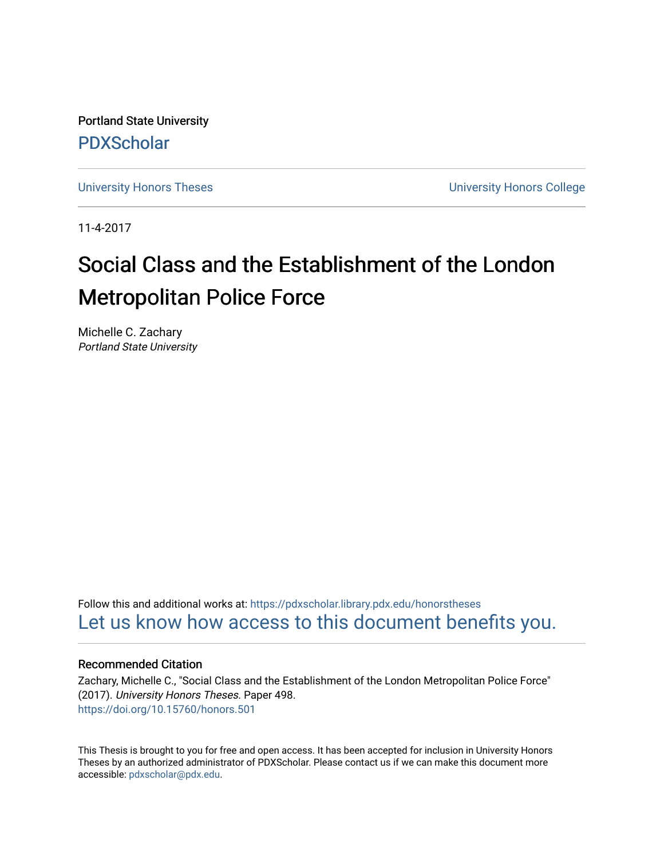Portland State University [PDXScholar](https://pdxscholar.library.pdx.edu/)

[University Honors Theses](https://pdxscholar.library.pdx.edu/honorstheses) [University Honors College](https://pdxscholar.library.pdx.edu/honors) 

11-4-2017

# Social Class and the Establishment of the London Metropolitan Police Force

Michelle C. Zachary Portland State University

Follow this and additional works at: [https://pdxscholar.library.pdx.edu/honorstheses](https://pdxscholar.library.pdx.edu/honorstheses?utm_source=pdxscholar.library.pdx.edu%2Fhonorstheses%2F498&utm_medium=PDF&utm_campaign=PDFCoverPages)  [Let us know how access to this document benefits you.](http://library.pdx.edu/services/pdxscholar-services/pdxscholar-feedback/) 

# Recommended Citation

Zachary, Michelle C., "Social Class and the Establishment of the London Metropolitan Police Force" (2017). University Honors Theses. Paper 498. <https://doi.org/10.15760/honors.501>

This Thesis is brought to you for free and open access. It has been accepted for inclusion in University Honors Theses by an authorized administrator of PDXScholar. Please contact us if we can make this document more accessible: [pdxscholar@pdx.edu.](mailto:pdxscholar@pdx.edu)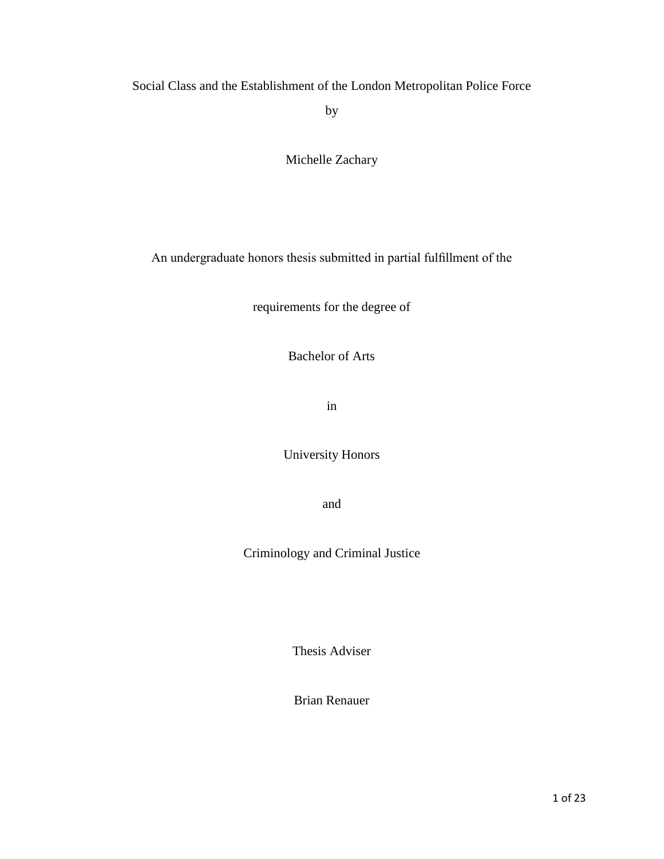Social Class and the Establishment of the London Metropolitan Police Force

by

Michelle Zachary

An undergraduate honors thesis submitted in partial fulfillment of the

requirements for the degree of

Bachelor of Arts

in

University Honors

and

Criminology and Criminal Justice

Thesis Adviser

Brian Renauer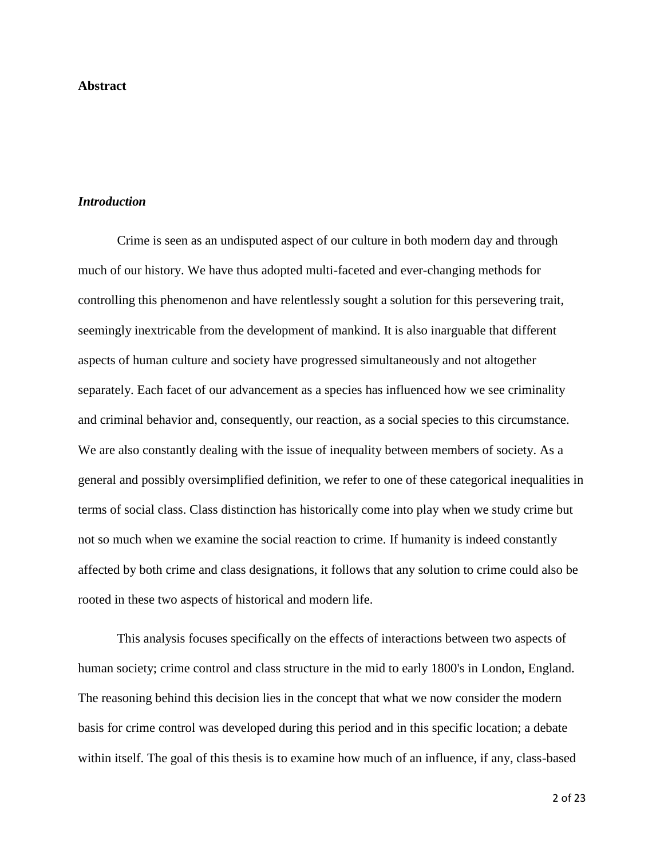# **Abstract**

#### *Introduction*

Crime is seen as an undisputed aspect of our culture in both modern day and through much of our history. We have thus adopted multi-faceted and ever-changing methods for controlling this phenomenon and have relentlessly sought a solution for this persevering trait, seemingly inextricable from the development of mankind. It is also inarguable that different aspects of human culture and society have progressed simultaneously and not altogether separately. Each facet of our advancement as a species has influenced how we see criminality and criminal behavior and, consequently, our reaction, as a social species to this circumstance. We are also constantly dealing with the issue of inequality between members of society. As a general and possibly oversimplified definition, we refer to one of these categorical inequalities in terms of social class. Class distinction has historically come into play when we study crime but not so much when we examine the social reaction to crime. If humanity is indeed constantly affected by both crime and class designations, it follows that any solution to crime could also be rooted in these two aspects of historical and modern life.

This analysis focuses specifically on the effects of interactions between two aspects of human society; crime control and class structure in the mid to early 1800's in London, England. The reasoning behind this decision lies in the concept that what we now consider the modern basis for crime control was developed during this period and in this specific location; a debate within itself. The goal of this thesis is to examine how much of an influence, if any, class-based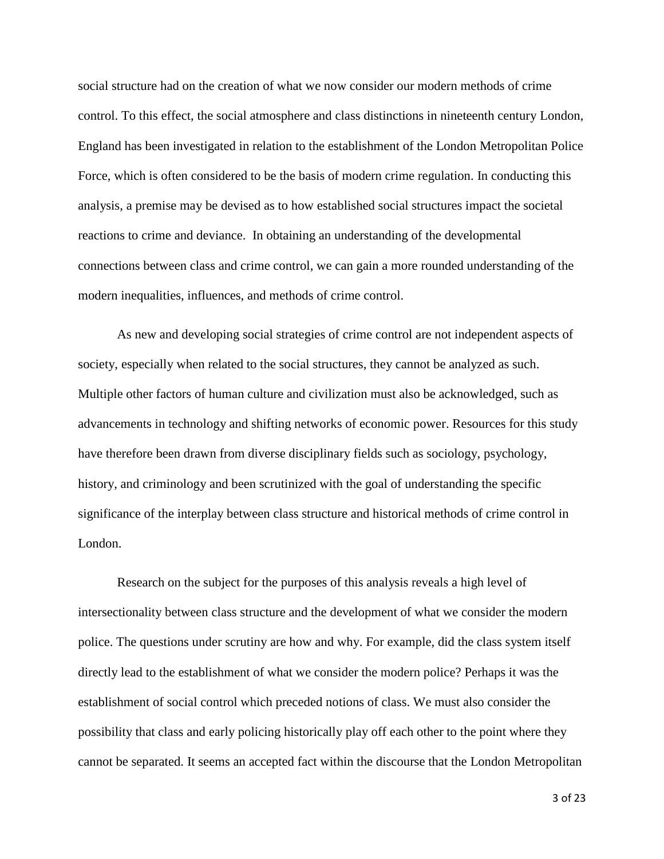social structure had on the creation of what we now consider our modern methods of crime control. To this effect, the social atmosphere and class distinctions in nineteenth century London, England has been investigated in relation to the establishment of the London Metropolitan Police Force, which is often considered to be the basis of modern crime regulation. In conducting this analysis, a premise may be devised as to how established social structures impact the societal reactions to crime and deviance. In obtaining an understanding of the developmental connections between class and crime control, we can gain a more rounded understanding of the modern inequalities, influences, and methods of crime control.

As new and developing social strategies of crime control are not independent aspects of society, especially when related to the social structures, they cannot be analyzed as such. Multiple other factors of human culture and civilization must also be acknowledged, such as advancements in technology and shifting networks of economic power. Resources for this study have therefore been drawn from diverse disciplinary fields such as sociology, psychology, history, and criminology and been scrutinized with the goal of understanding the specific significance of the interplay between class structure and historical methods of crime control in London.

Research on the subject for the purposes of this analysis reveals a high level of intersectionality between class structure and the development of what we consider the modern police. The questions under scrutiny are how and why. For example, did the class system itself directly lead to the establishment of what we consider the modern police? Perhaps it was the establishment of social control which preceded notions of class. We must also consider the possibility that class and early policing historically play off each other to the point where they cannot be separated. It seems an accepted fact within the discourse that the London Metropolitan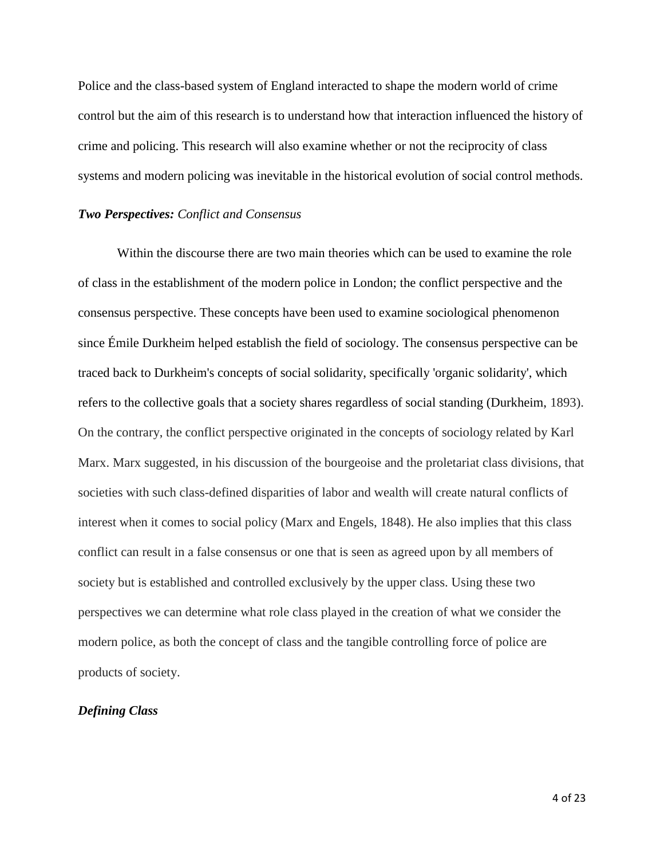Police and the class-based system of England interacted to shape the modern world of crime control but the aim of this research is to understand how that interaction influenced the history of crime and policing. This research will also examine whether or not the reciprocity of class systems and modern policing was inevitable in the historical evolution of social control methods.

# *Two Perspectives: Conflict and Consensus*

Within the discourse there are two main theories which can be used to examine the role of class in the establishment of the modern police in London; the conflict perspective and the consensus perspective. These concepts have been used to examine sociological phenomenon since Émile Durkheim helped establish the field of sociology. The consensus perspective can be traced back to Durkheim's concepts of social solidarity, specifically 'organic solidarity', which refers to the collective goals that a society shares regardless of social standing (Durkheim, 1893). On the contrary, the conflict perspective originated in the concepts of sociology related by Karl Marx. Marx suggested, in his discussion of the bourgeoise and the proletariat class divisions, that societies with such class-defined disparities of labor and wealth will create natural conflicts of interest when it comes to social policy (Marx and Engels, 1848). He also implies that this class conflict can result in a false consensus or one that is seen as agreed upon by all members of society but is established and controlled exclusively by the upper class. Using these two perspectives we can determine what role class played in the creation of what we consider the modern police, as both the concept of class and the tangible controlling force of police are products of society.

# *Defining Class*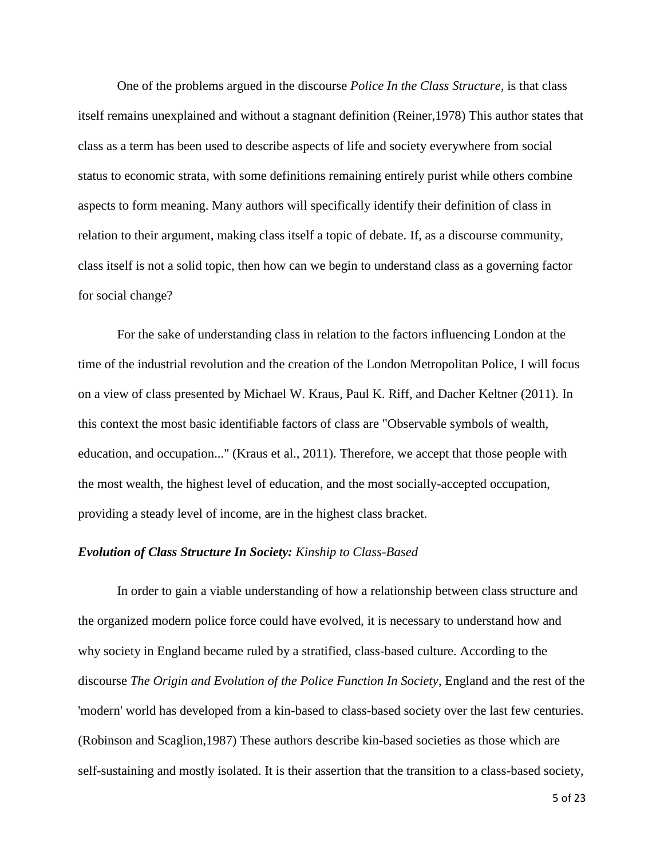One of the problems argued in the discourse *Police In the Class Structure,* is that class itself remains unexplained and without a stagnant definition (Reiner,1978) This author states that class as a term has been used to describe aspects of life and society everywhere from social status to economic strata, with some definitions remaining entirely purist while others combine aspects to form meaning. Many authors will specifically identify their definition of class in relation to their argument, making class itself a topic of debate. If, as a discourse community, class itself is not a solid topic, then how can we begin to understand class as a governing factor for social change?

For the sake of understanding class in relation to the factors influencing London at the time of the industrial revolution and the creation of the London Metropolitan Police, I will focus on a view of class presented by Michael W. Kraus, Paul K. Riff, and Dacher Keltner (2011)*.* In this context the most basic identifiable factors of class are "Observable symbols of wealth, education, and occupation..." (Kraus et al., 2011). Therefore, we accept that those people with the most wealth, the highest level of education, and the most socially-accepted occupation, providing a steady level of income, are in the highest class bracket.

#### *Evolution of Class Structure In Society: Kinship to Class-Based*

In order to gain a viable understanding of how a relationship between class structure and the organized modern police force could have evolved, it is necessary to understand how and why society in England became ruled by a stratified, class-based culture. According to the discourse *The Origin and Evolution of the Police Function In Society*, England and the rest of the 'modern' world has developed from a kin-based to class-based society over the last few centuries. (Robinson and Scaglion,1987) These authors describe kin-based societies as those which are self-sustaining and mostly isolated. It is their assertion that the transition to a class-based society,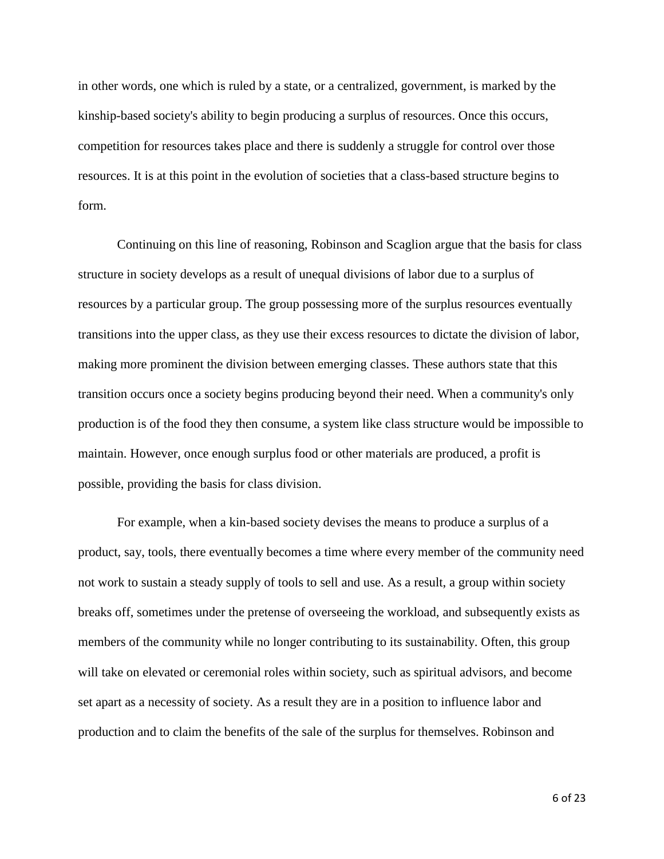in other words, one which is ruled by a state, or a centralized, government, is marked by the kinship-based society's ability to begin producing a surplus of resources. Once this occurs, competition for resources takes place and there is suddenly a struggle for control over those resources. It is at this point in the evolution of societies that a class-based structure begins to form.

Continuing on this line of reasoning, Robinson and Scaglion argue that the basis for class structure in society develops as a result of unequal divisions of labor due to a surplus of resources by a particular group. The group possessing more of the surplus resources eventually transitions into the upper class, as they use their excess resources to dictate the division of labor, making more prominent the division between emerging classes. These authors state that this transition occurs once a society begins producing beyond their need. When a community's only production is of the food they then consume, a system like class structure would be impossible to maintain. However, once enough surplus food or other materials are produced, a profit is possible, providing the basis for class division.

For example, when a kin-based society devises the means to produce a surplus of a product, say, tools, there eventually becomes a time where every member of the community need not work to sustain a steady supply of tools to sell and use. As a result, a group within society breaks off, sometimes under the pretense of overseeing the workload, and subsequently exists as members of the community while no longer contributing to its sustainability. Often, this group will take on elevated or ceremonial roles within society, such as spiritual advisors, and become set apart as a necessity of society. As a result they are in a position to influence labor and production and to claim the benefits of the sale of the surplus for themselves. Robinson and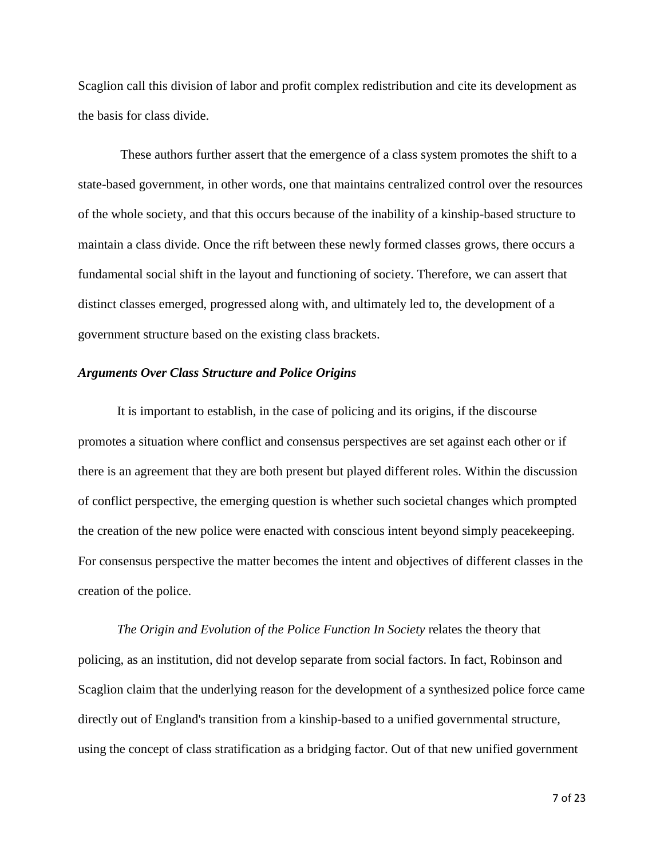Scaglion call this division of labor and profit complex redistribution and cite its development as the basis for class divide.

These authors further assert that the emergence of a class system promotes the shift to a state-based government, in other words, one that maintains centralized control over the resources of the whole society, and that this occurs because of the inability of a kinship-based structure to maintain a class divide. Once the rift between these newly formed classes grows, there occurs a fundamental social shift in the layout and functioning of society. Therefore, we can assert that distinct classes emerged, progressed along with, and ultimately led to, the development of a government structure based on the existing class brackets.

#### *Arguments Over Class Structure and Police Origins*

It is important to establish, in the case of policing and its origins, if the discourse promotes a situation where conflict and consensus perspectives are set against each other or if there is an agreement that they are both present but played different roles. Within the discussion of conflict perspective, the emerging question is whether such societal changes which prompted the creation of the new police were enacted with conscious intent beyond simply peacekeeping. For consensus perspective the matter becomes the intent and objectives of different classes in the creation of the police.

*The Origin and Evolution of the Police Function In Society* relates the theory that policing, as an institution, did not develop separate from social factors. In fact, Robinson and Scaglion claim that the underlying reason for the development of a synthesized police force came directly out of England's transition from a kinship-based to a unified governmental structure, using the concept of class stratification as a bridging factor. Out of that new unified government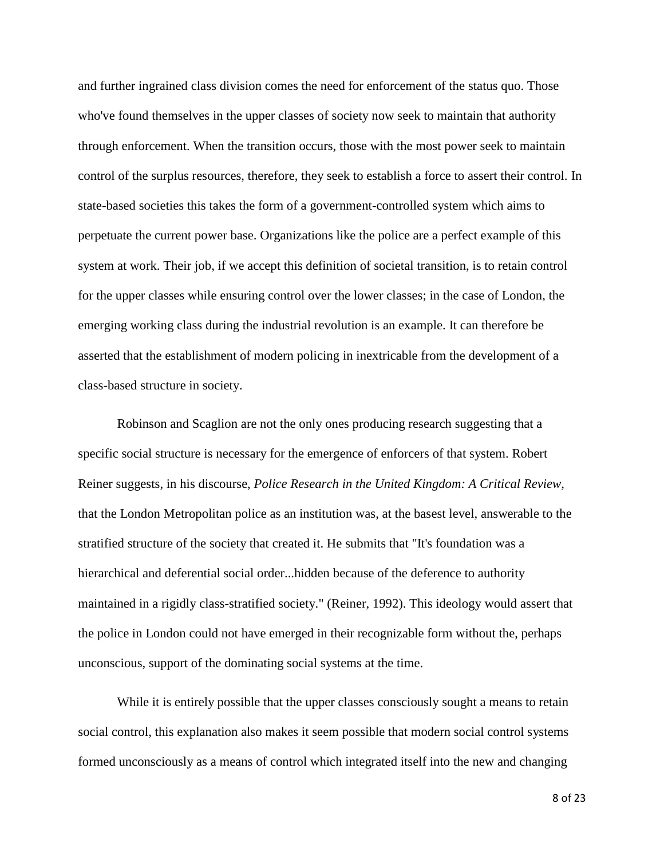and further ingrained class division comes the need for enforcement of the status quo. Those who've found themselves in the upper classes of society now seek to maintain that authority through enforcement. When the transition occurs, those with the most power seek to maintain control of the surplus resources, therefore, they seek to establish a force to assert their control. In state-based societies this takes the form of a government-controlled system which aims to perpetuate the current power base. Organizations like the police are a perfect example of this system at work. Their job, if we accept this definition of societal transition, is to retain control for the upper classes while ensuring control over the lower classes; in the case of London, the emerging working class during the industrial revolution is an example. It can therefore be asserted that the establishment of modern policing in inextricable from the development of a class-based structure in society.

Robinson and Scaglion are not the only ones producing research suggesting that a specific social structure is necessary for the emergence of enforcers of that system. Robert Reiner suggests, in his discourse, *Police Research in the United Kingdom: A Critical Review,*  that the London Metropolitan police as an institution was, at the basest level, answerable to the stratified structure of the society that created it. He submits that "It's foundation was a hierarchical and deferential social order...hidden because of the deference to authority maintained in a rigidly class-stratified society." (Reiner, 1992). This ideology would assert that the police in London could not have emerged in their recognizable form without the, perhaps unconscious, support of the dominating social systems at the time.

While it is entirely possible that the upper classes consciously sought a means to retain social control, this explanation also makes it seem possible that modern social control systems formed unconsciously as a means of control which integrated itself into the new and changing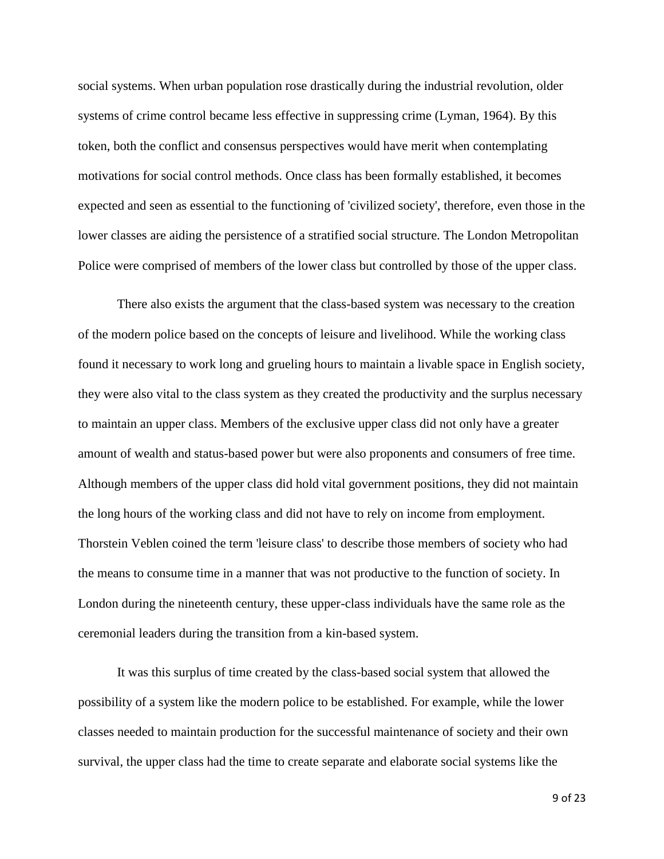social systems. When urban population rose drastically during the industrial revolution, older systems of crime control became less effective in suppressing crime (Lyman, 1964). By this token, both the conflict and consensus perspectives would have merit when contemplating motivations for social control methods. Once class has been formally established, it becomes expected and seen as essential to the functioning of 'civilized society', therefore, even those in the lower classes are aiding the persistence of a stratified social structure. The London Metropolitan Police were comprised of members of the lower class but controlled by those of the upper class.

There also exists the argument that the class-based system was necessary to the creation of the modern police based on the concepts of leisure and livelihood. While the working class found it necessary to work long and grueling hours to maintain a livable space in English society, they were also vital to the class system as they created the productivity and the surplus necessary to maintain an upper class. Members of the exclusive upper class did not only have a greater amount of wealth and status-based power but were also proponents and consumers of free time. Although members of the upper class did hold vital government positions, they did not maintain the long hours of the working class and did not have to rely on income from employment. Thorstein Veblen coined the term 'leisure class' to describe those members of society who had the means to consume time in a manner that was not productive to the function of society. In London during the nineteenth century, these upper-class individuals have the same role as the ceremonial leaders during the transition from a kin-based system.

It was this surplus of time created by the class-based social system that allowed the possibility of a system like the modern police to be established. For example, while the lower classes needed to maintain production for the successful maintenance of society and their own survival, the upper class had the time to create separate and elaborate social systems like the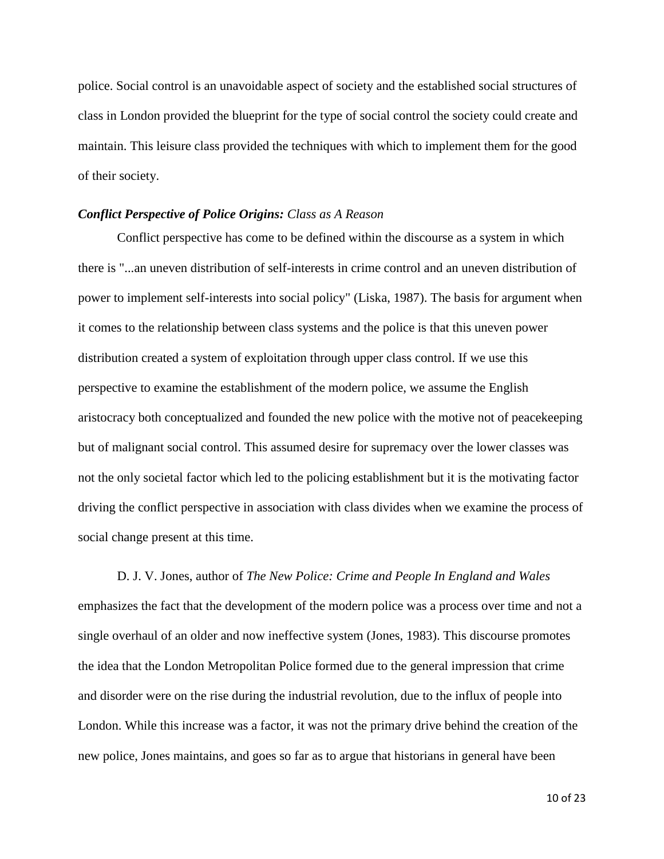police. Social control is an unavoidable aspect of society and the established social structures of class in London provided the blueprint for the type of social control the society could create and maintain. This leisure class provided the techniques with which to implement them for the good of their society.

# *Conflict Perspective of Police Origins: Class as A Reason*

Conflict perspective has come to be defined within the discourse as a system in which there is "...an uneven distribution of self-interests in crime control and an uneven distribution of power to implement self-interests into social policy" (Liska, 1987). The basis for argument when it comes to the relationship between class systems and the police is that this uneven power distribution created a system of exploitation through upper class control. If we use this perspective to examine the establishment of the modern police, we assume the English aristocracy both conceptualized and founded the new police with the motive not of peacekeeping but of malignant social control. This assumed desire for supremacy over the lower classes was not the only societal factor which led to the policing establishment but it is the motivating factor driving the conflict perspective in association with class divides when we examine the process of social change present at this time.

D. J. V. Jones, author of *The New Police: Crime and People In England and Wales*  emphasizes the fact that the development of the modern police was a process over time and not a single overhaul of an older and now ineffective system (Jones, 1983). This discourse promotes the idea that the London Metropolitan Police formed due to the general impression that crime and disorder were on the rise during the industrial revolution, due to the influx of people into London. While this increase was a factor, it was not the primary drive behind the creation of the new police, Jones maintains, and goes so far as to argue that historians in general have been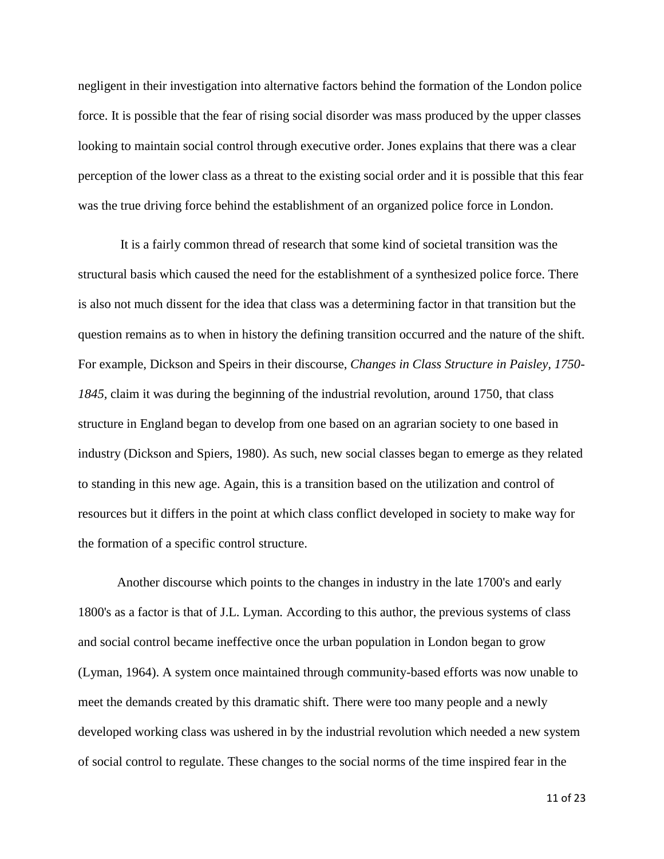negligent in their investigation into alternative factors behind the formation of the London police force. It is possible that the fear of rising social disorder was mass produced by the upper classes looking to maintain social control through executive order. Jones explains that there was a clear perception of the lower class as a threat to the existing social order and it is possible that this fear was the true driving force behind the establishment of an organized police force in London.

It is a fairly common thread of research that some kind of societal transition was the structural basis which caused the need for the establishment of a synthesized police force. There is also not much dissent for the idea that class was a determining factor in that transition but the question remains as to when in history the defining transition occurred and the nature of the shift. For example, Dickson and Speirs in their discourse, *Changes in Class Structure in Paisley, 1750- 1845,* claim it was during the beginning of the industrial revolution, around 1750, that class structure in England began to develop from one based on an agrarian society to one based in industry (Dickson and Spiers, 1980). As such, new social classes began to emerge as they related to standing in this new age. Again, this is a transition based on the utilization and control of resources but it differs in the point at which class conflict developed in society to make way for the formation of a specific control structure.

Another discourse which points to the changes in industry in the late 1700's and early 1800's as a factor is that of J.L. Lyman*.* According to this author, the previous systems of class and social control became ineffective once the urban population in London began to grow (Lyman, 1964). A system once maintained through community-based efforts was now unable to meet the demands created by this dramatic shift. There were too many people and a newly developed working class was ushered in by the industrial revolution which needed a new system of social control to regulate. These changes to the social norms of the time inspired fear in the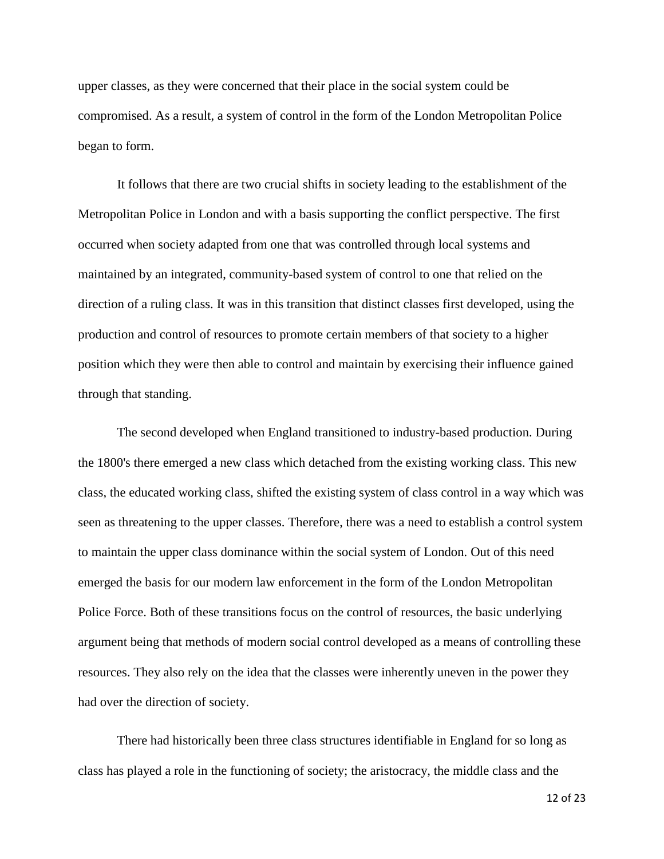upper classes, as they were concerned that their place in the social system could be compromised. As a result, a system of control in the form of the London Metropolitan Police began to form.

It follows that there are two crucial shifts in society leading to the establishment of the Metropolitan Police in London and with a basis supporting the conflict perspective. The first occurred when society adapted from one that was controlled through local systems and maintained by an integrated, community-based system of control to one that relied on the direction of a ruling class. It was in this transition that distinct classes first developed, using the production and control of resources to promote certain members of that society to a higher position which they were then able to control and maintain by exercising their influence gained through that standing.

The second developed when England transitioned to industry-based production. During the 1800's there emerged a new class which detached from the existing working class. This new class, the educated working class, shifted the existing system of class control in a way which was seen as threatening to the upper classes. Therefore, there was a need to establish a control system to maintain the upper class dominance within the social system of London. Out of this need emerged the basis for our modern law enforcement in the form of the London Metropolitan Police Force. Both of these transitions focus on the control of resources, the basic underlying argument being that methods of modern social control developed as a means of controlling these resources. They also rely on the idea that the classes were inherently uneven in the power they had over the direction of society.

There had historically been three class structures identifiable in England for so long as class has played a role in the functioning of society; the aristocracy, the middle class and the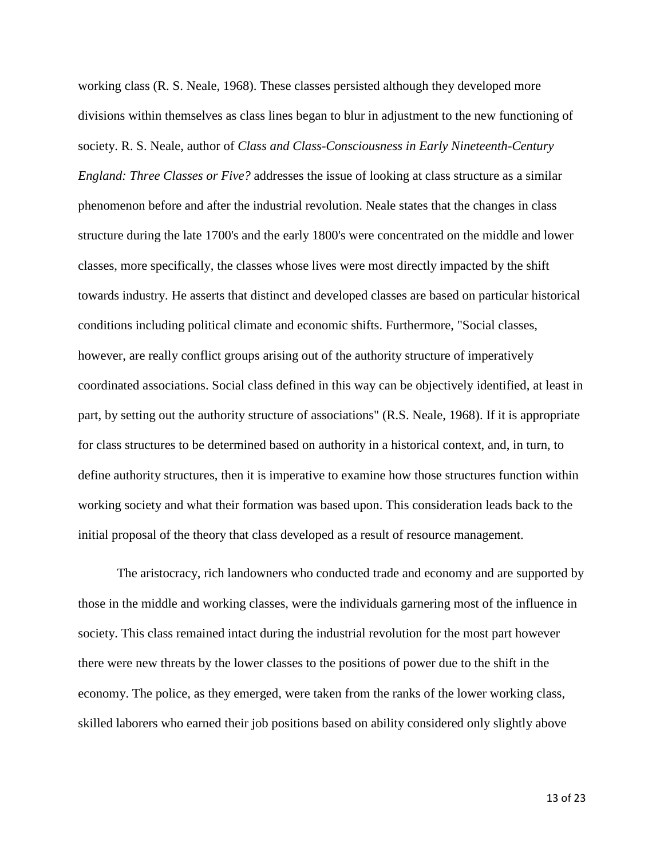working class (R. S. Neale, 1968). These classes persisted although they developed more divisions within themselves as class lines began to blur in adjustment to the new functioning of society. R. S. Neale, author of *Class and Class-Consciousness in Early Nineteenth-Century England: Three Classes or Five?* addresses the issue of looking at class structure as a similar phenomenon before and after the industrial revolution. Neale states that the changes in class structure during the late 1700's and the early 1800's were concentrated on the middle and lower classes, more specifically, the classes whose lives were most directly impacted by the shift towards industry. He asserts that distinct and developed classes are based on particular historical conditions including political climate and economic shifts. Furthermore, "Social classes, however, are really conflict groups arising out of the authority structure of imperatively coordinated associations. Social class defined in this way can be objectively identified, at least in part, by setting out the authority structure of associations" (R.S. Neale, 1968). If it is appropriate for class structures to be determined based on authority in a historical context, and, in turn, to define authority structures, then it is imperative to examine how those structures function within working society and what their formation was based upon. This consideration leads back to the initial proposal of the theory that class developed as a result of resource management.

The aristocracy, rich landowners who conducted trade and economy and are supported by those in the middle and working classes, were the individuals garnering most of the influence in society. This class remained intact during the industrial revolution for the most part however there were new threats by the lower classes to the positions of power due to the shift in the economy. The police, as they emerged, were taken from the ranks of the lower working class, skilled laborers who earned their job positions based on ability considered only slightly above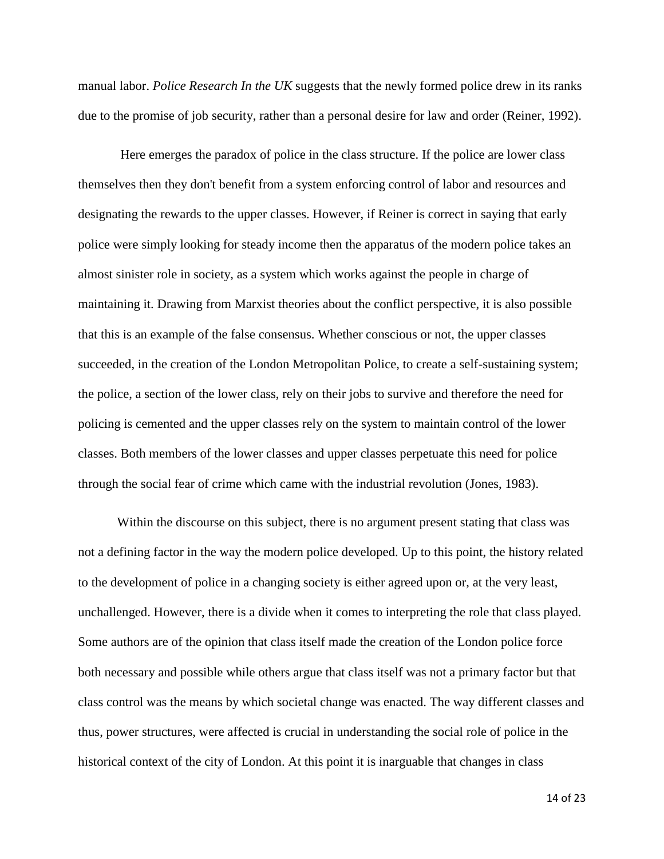manual labor. *Police Research In the UK* suggests that the newly formed police drew in its ranks due to the promise of job security, rather than a personal desire for law and order (Reiner, 1992).

Here emerges the paradox of police in the class structure. If the police are lower class themselves then they don't benefit from a system enforcing control of labor and resources and designating the rewards to the upper classes. However, if Reiner is correct in saying that early police were simply looking for steady income then the apparatus of the modern police takes an almost sinister role in society, as a system which works against the people in charge of maintaining it. Drawing from Marxist theories about the conflict perspective, it is also possible that this is an example of the false consensus. Whether conscious or not, the upper classes succeeded, in the creation of the London Metropolitan Police, to create a self-sustaining system; the police, a section of the lower class, rely on their jobs to survive and therefore the need for policing is cemented and the upper classes rely on the system to maintain control of the lower classes. Both members of the lower classes and upper classes perpetuate this need for police through the social fear of crime which came with the industrial revolution (Jones, 1983).

Within the discourse on this subject, there is no argument present stating that class was not a defining factor in the way the modern police developed. Up to this point, the history related to the development of police in a changing society is either agreed upon or, at the very least, unchallenged. However, there is a divide when it comes to interpreting the role that class played. Some authors are of the opinion that class itself made the creation of the London police force both necessary and possible while others argue that class itself was not a primary factor but that class control was the means by which societal change was enacted. The way different classes and thus, power structures, were affected is crucial in understanding the social role of police in the historical context of the city of London. At this point it is inarguable that changes in class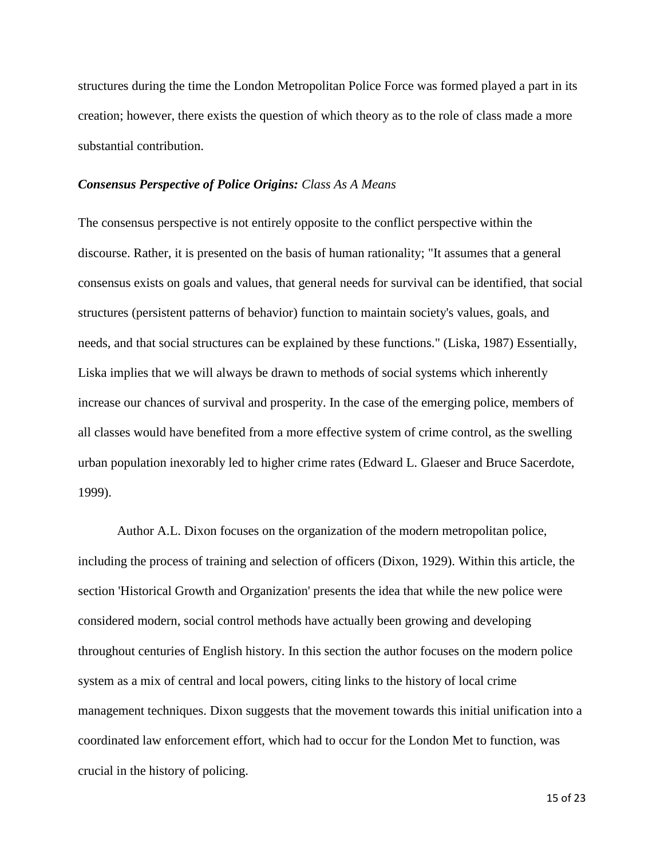structures during the time the London Metropolitan Police Force was formed played a part in its creation; however, there exists the question of which theory as to the role of class made a more substantial contribution.

#### *Consensus Perspective of Police Origins: Class As A Means*

The consensus perspective is not entirely opposite to the conflict perspective within the discourse. Rather, it is presented on the basis of human rationality; "It assumes that a general consensus exists on goals and values, that general needs for survival can be identified, that social structures (persistent patterns of behavior) function to maintain society's values, goals, and needs, and that social structures can be explained by these functions." (Liska, 1987) Essentially, Liska implies that we will always be drawn to methods of social systems which inherently increase our chances of survival and prosperity. In the case of the emerging police, members of all classes would have benefited from a more effective system of crime control, as the swelling urban population inexorably led to higher crime rates (Edward L. Glaeser and Bruce Sacerdote, 1999).

Author A.L. Dixon focuses on the organization of the modern metropolitan police, including the process of training and selection of officers (Dixon, 1929). Within this article, the section 'Historical Growth and Organization' presents the idea that while the new police were considered modern, social control methods have actually been growing and developing throughout centuries of English history. In this section the author focuses on the modern police system as a mix of central and local powers, citing links to the history of local crime management techniques. Dixon suggests that the movement towards this initial unification into a coordinated law enforcement effort, which had to occur for the London Met to function, was crucial in the history of policing.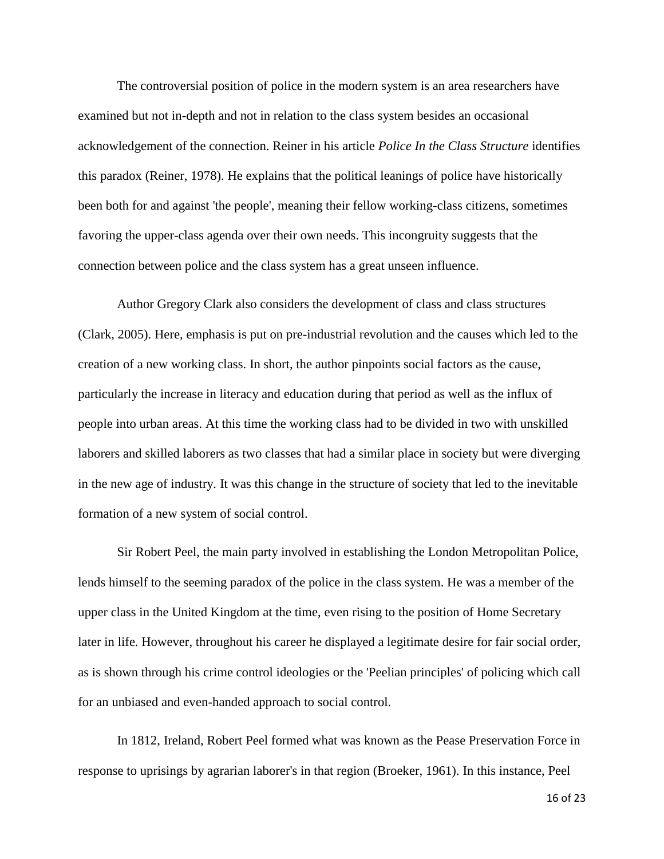The controversial position of police in the modern system is an area researchers have examined but not in-depth and not in relation to the class system besides an occasional acknowledgement of the connection. Reiner in his article *Police In the Class Structure* identifies this paradox (Reiner, 1978). He explains that the political leanings of police have historically been both for and against 'the people', meaning their fellow working-class citizens, sometimes favoring the upper-class agenda over their own needs. This incongruity suggests that the connection between police and the class system has a great unseen influence.

Author Gregory Clark also considers the development of class and class structures (Clark, 2005). Here, emphasis is put on pre-industrial revolution and the causes which led to the creation of a new working class. In short, the author pinpoints social factors as the cause, particularly the increase in literacy and education during that period as well as the influx of people into urban areas. At this time the working class had to be divided in two with unskilled laborers and skilled laborers as two classes that had a similar place in society but were diverging in the new age of industry. It was this change in the structure of society that led to the inevitable formation of a new system of social control.

Sir Robert Peel, the main party involved in establishing the London Metropolitan Police, lends himself to the seeming paradox of the police in the class system. He was a member of the upper class in the United Kingdom at the time, even rising to the position of Home Secretary later in life. However, throughout his career he displayed a legitimate desire for fair social order, as is shown through his crime control ideologies or the 'Peelian principles' of policing which call for an unbiased and even-handed approach to social control.

In 1812, Ireland, Robert Peel formed what was known as the Pease Preservation Force in response to uprisings by agrarian laborer's in that region (Broeker, 1961). In this instance, Peel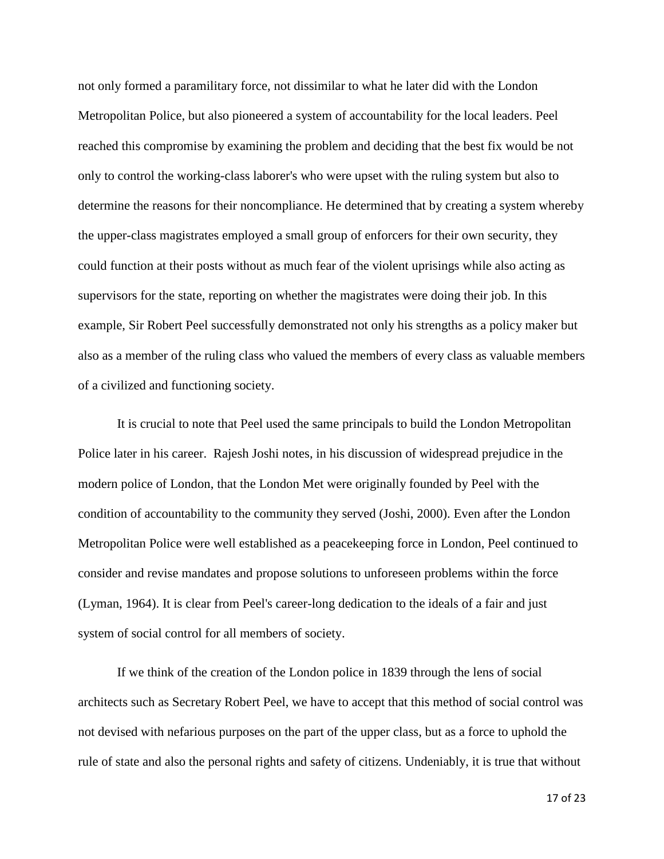not only formed a paramilitary force, not dissimilar to what he later did with the London Metropolitan Police, but also pioneered a system of accountability for the local leaders. Peel reached this compromise by examining the problem and deciding that the best fix would be not only to control the working-class laborer's who were upset with the ruling system but also to determine the reasons for their noncompliance. He determined that by creating a system whereby the upper-class magistrates employed a small group of enforcers for their own security, they could function at their posts without as much fear of the violent uprisings while also acting as supervisors for the state, reporting on whether the magistrates were doing their job. In this example, Sir Robert Peel successfully demonstrated not only his strengths as a policy maker but also as a member of the ruling class who valued the members of every class as valuable members of a civilized and functioning society.

It is crucial to note that Peel used the same principals to build the London Metropolitan Police later in his career. Rajesh Joshi notes, in his discussion of widespread prejudice in the modern police of London, that the London Met were originally founded by Peel with the condition of accountability to the community they served (Joshi, 2000). Even after the London Metropolitan Police were well established as a peacekeeping force in London, Peel continued to consider and revise mandates and propose solutions to unforeseen problems within the force (Lyman, 1964). It is clear from Peel's career-long dedication to the ideals of a fair and just system of social control for all members of society.

If we think of the creation of the London police in 1839 through the lens of social architects such as Secretary Robert Peel, we have to accept that this method of social control was not devised with nefarious purposes on the part of the upper class, but as a force to uphold the rule of state and also the personal rights and safety of citizens. Undeniably, it is true that without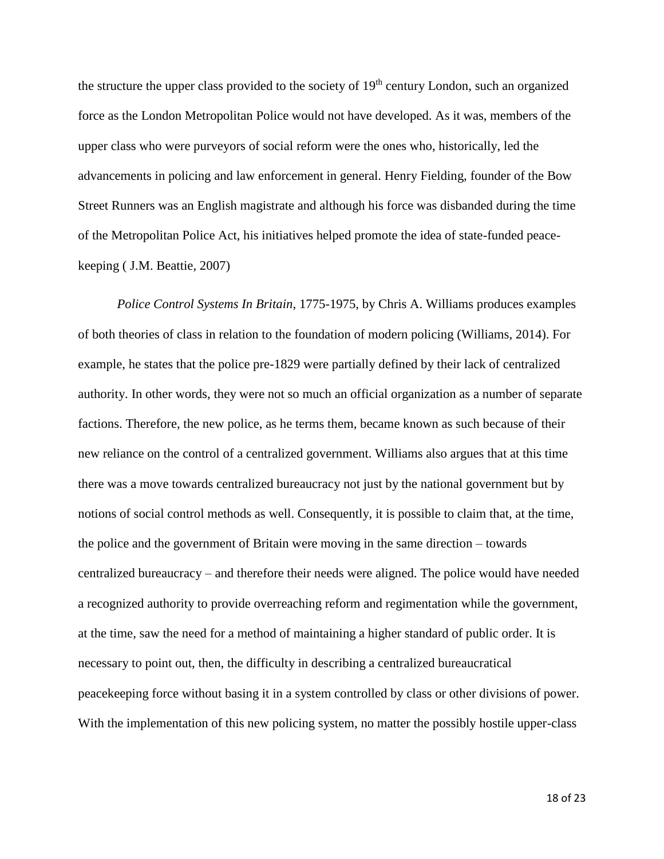the structure the upper class provided to the society of 19<sup>th</sup> century London, such an organized force as the London Metropolitan Police would not have developed. As it was, members of the upper class who were purveyors of social reform were the ones who, historically, led the advancements in policing and law enforcement in general. Henry Fielding, founder of the Bow Street Runners was an English magistrate and although his force was disbanded during the time of the Metropolitan Police Act, his initiatives helped promote the idea of state-funded peacekeeping ( J.M. Beattie, 2007)

*Police Control Systems In Britain*, 1775-1975, by Chris A. Williams produces examples of both theories of class in relation to the foundation of modern policing (Williams, 2014). For example, he states that the police pre-1829 were partially defined by their lack of centralized authority. In other words, they were not so much an official organization as a number of separate factions. Therefore, the new police, as he terms them, became known as such because of their new reliance on the control of a centralized government. Williams also argues that at this time there was a move towards centralized bureaucracy not just by the national government but by notions of social control methods as well. Consequently, it is possible to claim that, at the time, the police and the government of Britain were moving in the same direction – towards centralized bureaucracy – and therefore their needs were aligned. The police would have needed a recognized authority to provide overreaching reform and regimentation while the government, at the time, saw the need for a method of maintaining a higher standard of public order. It is necessary to point out, then, the difficulty in describing a centralized bureaucratical peacekeeping force without basing it in a system controlled by class or other divisions of power. With the implementation of this new policing system, no matter the possibly hostile upper-class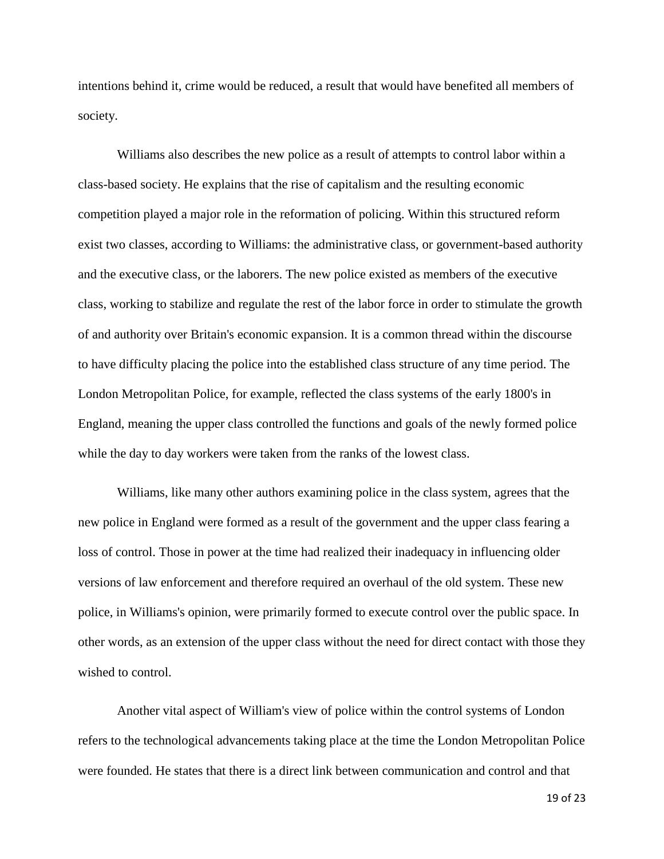intentions behind it, crime would be reduced, a result that would have benefited all members of society.

Williams also describes the new police as a result of attempts to control labor within a class-based society. He explains that the rise of capitalism and the resulting economic competition played a major role in the reformation of policing. Within this structured reform exist two classes, according to Williams: the administrative class, or government-based authority and the executive class, or the laborers. The new police existed as members of the executive class, working to stabilize and regulate the rest of the labor force in order to stimulate the growth of and authority over Britain's economic expansion. It is a common thread within the discourse to have difficulty placing the police into the established class structure of any time period. The London Metropolitan Police, for example, reflected the class systems of the early 1800's in England, meaning the upper class controlled the functions and goals of the newly formed police while the day to day workers were taken from the ranks of the lowest class.

Williams, like many other authors examining police in the class system, agrees that the new police in England were formed as a result of the government and the upper class fearing a loss of control. Those in power at the time had realized their inadequacy in influencing older versions of law enforcement and therefore required an overhaul of the old system. These new police, in Williams's opinion, were primarily formed to execute control over the public space. In other words, as an extension of the upper class without the need for direct contact with those they wished to control.

Another vital aspect of William's view of police within the control systems of London refers to the technological advancements taking place at the time the London Metropolitan Police were founded. He states that there is a direct link between communication and control and that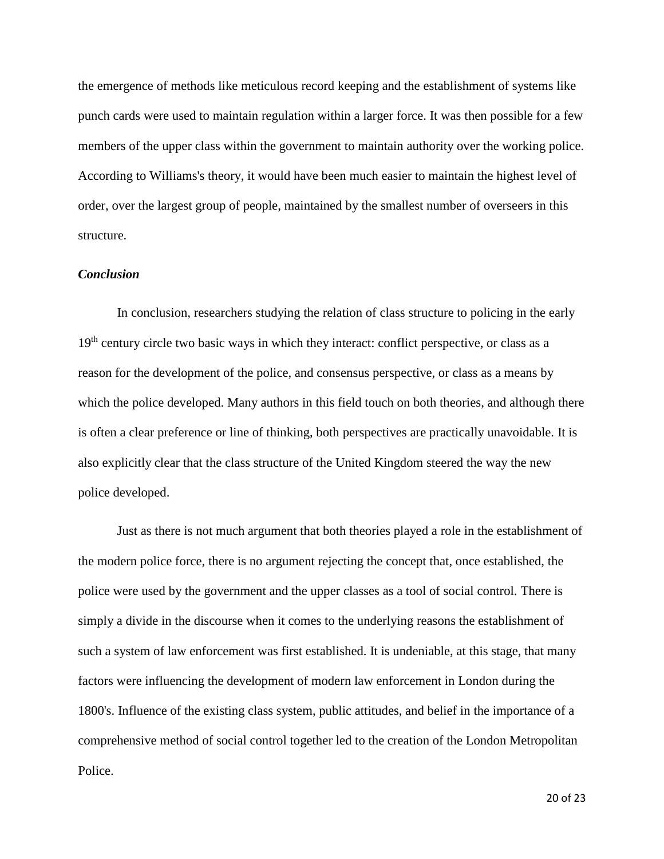the emergence of methods like meticulous record keeping and the establishment of systems like punch cards were used to maintain regulation within a larger force. It was then possible for a few members of the upper class within the government to maintain authority over the working police. According to Williams's theory, it would have been much easier to maintain the highest level of order, over the largest group of people, maintained by the smallest number of overseers in this structure.

# *Conclusion*

In conclusion, researchers studying the relation of class structure to policing in the early  $19<sup>th</sup>$  century circle two basic ways in which they interact: conflict perspective, or class as a reason for the development of the police, and consensus perspective, or class as a means by which the police developed. Many authors in this field touch on both theories, and although there is often a clear preference or line of thinking, both perspectives are practically unavoidable. It is also explicitly clear that the class structure of the United Kingdom steered the way the new police developed.

Just as there is not much argument that both theories played a role in the establishment of the modern police force, there is no argument rejecting the concept that, once established, the police were used by the government and the upper classes as a tool of social control. There is simply a divide in the discourse when it comes to the underlying reasons the establishment of such a system of law enforcement was first established. It is undeniable, at this stage, that many factors were influencing the development of modern law enforcement in London during the 1800's. Influence of the existing class system, public attitudes, and belief in the importance of a comprehensive method of social control together led to the creation of the London Metropolitan Police.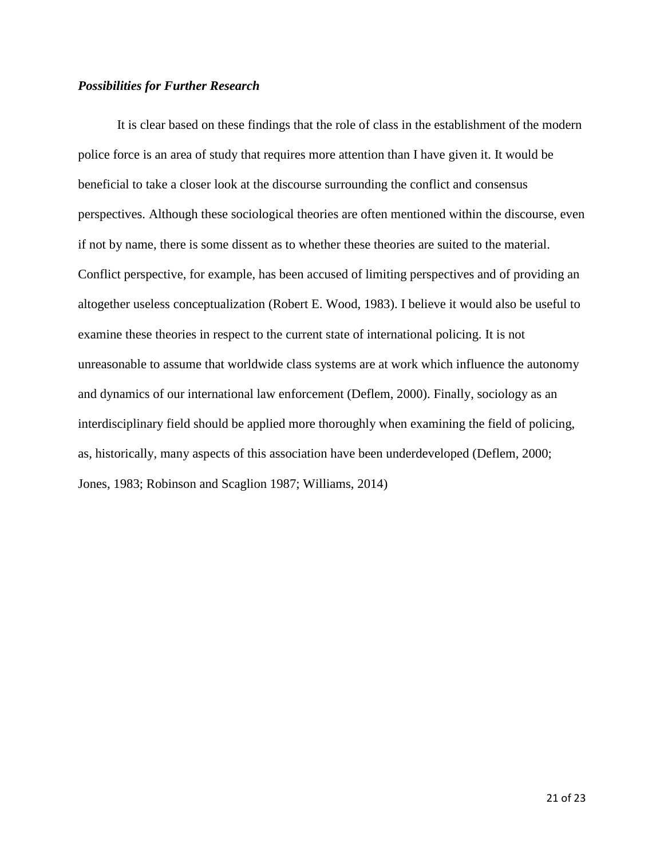# *Possibilities for Further Research*

It is clear based on these findings that the role of class in the establishment of the modern police force is an area of study that requires more attention than I have given it. It would be beneficial to take a closer look at the discourse surrounding the conflict and consensus perspectives. Although these sociological theories are often mentioned within the discourse, even if not by name, there is some dissent as to whether these theories are suited to the material. Conflict perspective, for example, has been accused of limiting perspectives and of providing an altogether useless conceptualization (Robert E. Wood, 1983). I believe it would also be useful to examine these theories in respect to the current state of international policing. It is not unreasonable to assume that worldwide class systems are at work which influence the autonomy and dynamics of our international law enforcement (Deflem, 2000). Finally, sociology as an interdisciplinary field should be applied more thoroughly when examining the field of policing, as, historically, many aspects of this association have been underdeveloped (Deflem, 2000; Jones, 1983; Robinson and Scaglion 1987; Williams, 2014)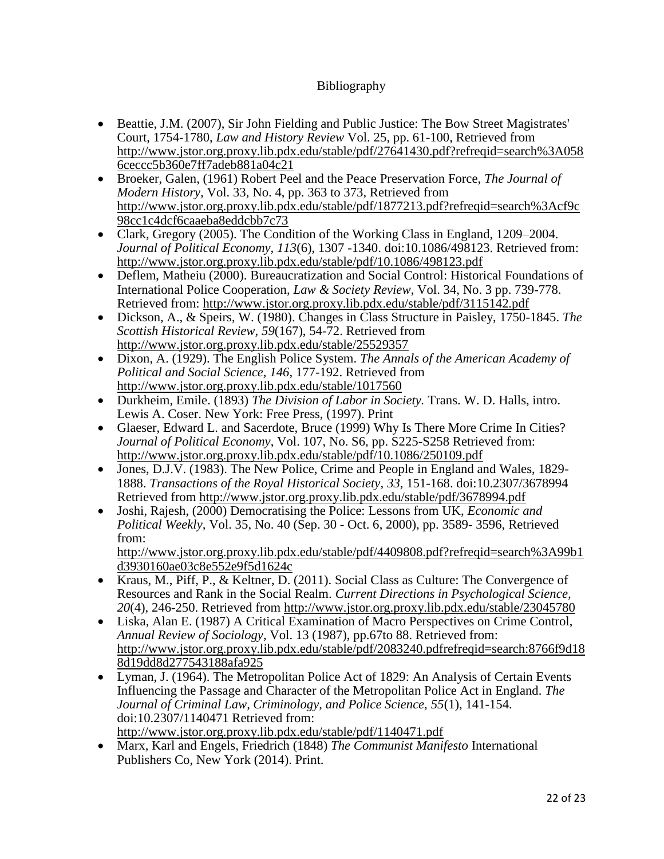# Bibliography

- Beattie, J.M. (2007), Sir John Fielding and Public Justice: The Bow Street Magistrates' Court, 1754-1780, *Law and History Review* Vol. 25, pp. 61-100, Retrieved from [http://www.jstor.org.proxy.lib.pdx.edu/stable/pdf/27641430.pdf?refreqid=search%3A058](http://www.jstor.org.proxy.lib.pdx.edu/stable/pdf/27641430.pdf?refreqid=search%3A0586ceccc5b360e7ff7adeb881a04c21) [6ceccc5b360e7ff7adeb881a04c21](http://www.jstor.org.proxy.lib.pdx.edu/stable/pdf/27641430.pdf?refreqid=search%3A0586ceccc5b360e7ff7adeb881a04c21)
- Broeker, Galen, (1961) Robert Peel and the Peace Preservation Force, *The Journal of Modern History,* Vol. 33, No. 4, pp. 363 to 373, Retrieved from [http://www.jstor.org.proxy.lib.pdx.edu/stable/pdf/1877213.pdf?refreqid=search%3Acf9c](http://www.jstor.org.proxy.lib.pdx.edu/stable/pdf/1877213.pdf?refreqid=search%3Acf9c98cc1c4dcf6caaeba8eddcbb7c73) [98cc1c4dcf6caaeba8eddcbb7c73](http://www.jstor.org.proxy.lib.pdx.edu/stable/pdf/1877213.pdf?refreqid=search%3Acf9c98cc1c4dcf6caaeba8eddcbb7c73)
- Clark, Gregory (2005). The Condition of the Working Class in England, 1209–2004. *Journal of Political Economy, 113*(6), 1307 -1340. doi:10.1086/498123. Retrieved from: http://www.jstor.org.proxy.lib.pdx.edu/stable/pdf/10.1086/498123.pdf
- Deflem, Matheiu (2000). Bureaucratization and Social Control: Historical Foundations of International Police Cooperation, *Law & Society Review*, Vol. 34, No. 3 pp. 739-778. Retrieved from: http://www.jstor.org.proxy.lib.pdx.edu/stable/pdf/3115142.pdf
- Dickson, A., & Speirs, W. (1980). Changes in Class Structure in Paisley, 1750-1845. *The Scottish Historical Review, 59*(167), 54-72. Retrieved from <http://www.jstor.org.proxy.lib.pdx.edu/stable/25529357>
- Dixon, A. (1929). The English Police System. *The Annals of the American Academy of Political and Social Science, 146*, 177-192. Retrieved from <http://www.jstor.org.proxy.lib.pdx.edu/stable/1017560>
- Durkheim, Emile. (1893) *The Division of Labor in Society.* Trans. W. D. Halls, intro. [Lewis A. Coser.](https://en.wikipedia.org/wiki/Lewis_A._Coser) New York: Free Press, (1997). Print
- Glaeser, Edward L. and Sacerdote, Bruce (1999) Why Is There More Crime In Cities? *Journal of Political Economy*, Vol. 107, No. S6, pp. S225-S258 Retrieved from: http://www.jstor.org.proxy.lib.pdx.edu/stable/pdf/10.1086/250109.pdf
- Jones, D.J.V. (1983). The New Police, Crime and People in England and Wales, 1829– 1888. *Transactions of the Royal Historical Society, 33*, 151-168. doi:10.2307/3678994 Retrieved from http://www.jstor.org.proxy.lib.pdx.edu/stable/pdf/3678994.pdf
- Joshi, Rajesh, (2000) Democratising the Police: Lessons from UK, *Economic and Political Weekly,* Vol. 35, No. 40 (Sep. 30 - Oct. 6, 2000), pp. 3589- 3596, Retrieved from:

[http://www.jstor.org.proxy.lib.pdx.edu/stable/pdf/4409808.pdf?refreqid=search%3A99b1](http://www.jstor.org.proxy.lib.pdx.edu/stable/pdf/4409808.pdf?refreqid=search%3A99b1d3930160ae03c8e552e9f5d1624c) [d3930160ae03c8e552e9f5d1624c](http://www.jstor.org.proxy.lib.pdx.edu/stable/pdf/4409808.pdf?refreqid=search%3A99b1d3930160ae03c8e552e9f5d1624c)

- Kraus, M., Piff, P., & Keltner, D. (2011). Social Class as Culture: The Convergence of Resources and Rank in the Social Realm. *Current Directions in Psychological Science, 20*(4), 246-250. Retrieved from<http://www.jstor.org.proxy.lib.pdx.edu/stable/23045780>
- Liska, Alan E. (1987) A Critical Examination of Macro Perspectives on Crime Control, *Annual Review of Sociology*, Vol. 13 (1987), pp.67to 88. Retrieved from: [http://www.jstor.org.proxy.lib.pdx.edu/stable/pdf/2083240.pdfr](http://www.jstor.org.proxy.lib.pdx.edu/stable/pdf/2083240.pdf)efreqid=search:8766f9d18 8d19dd8d277543188afa925
- Lyman, J. (1964). The Metropolitan Police Act of 1829: An Analysis of Certain Events Influencing the Passage and Character of the Metropolitan Police Act in England. *The Journal of Criminal Law, Criminology, and Police Science, 55*(1), 141-154. doi:10.2307/1140471 Retrieved from: <http://www.jstor.org.proxy.lib.pdx.edu/stable/pdf/1140471.pdf>
- Marx, Karl and Engels, Friedrich (1848) *The Communist Manifesto* International Publishers Co, New York (2014). Print.